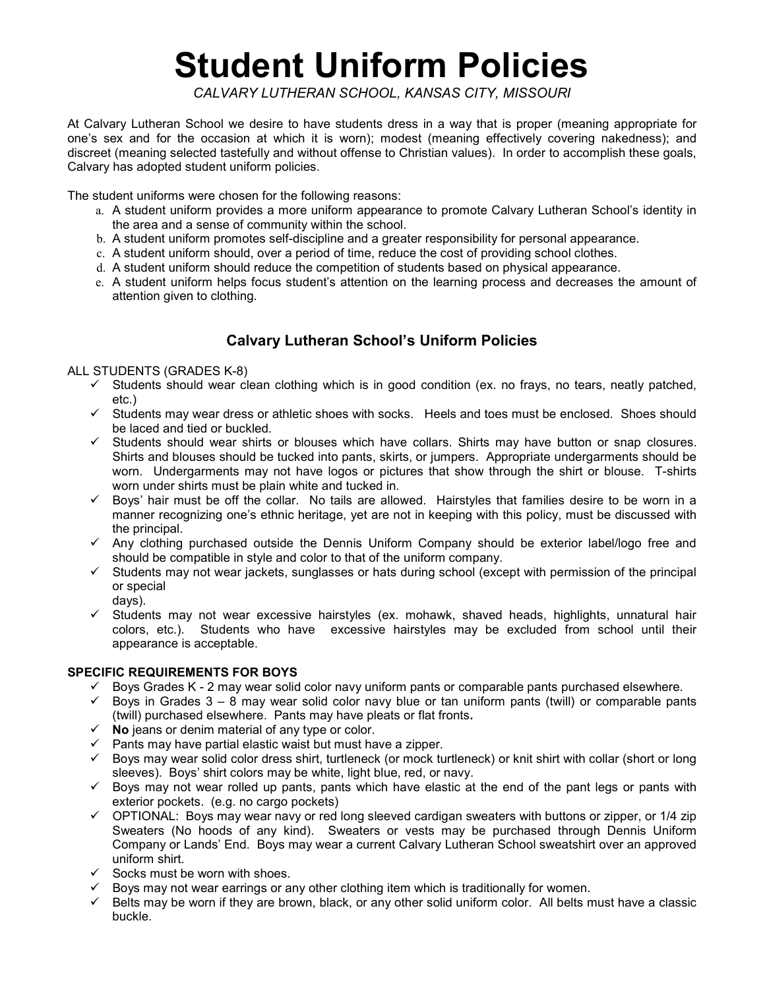# Student Uniform Policies

CALVARY LUTHERAN SCHOOL, KANSAS CITY, MISSOURI

At Calvary Lutheran School we desire to have students dress in a way that is proper (meaning appropriate for one's sex and for the occasion at which it is worn); modest (meaning effectively covering nakedness); and discreet (meaning selected tastefully and without offense to Christian values). In order to accomplish these goals, Calvary has adopted student uniform policies.

The student uniforms were chosen for the following reasons:

- a. A student uniform provides a more uniform appearance to promote Calvary Lutheran School's identity in the area and a sense of community within the school.
- b. A student uniform promotes self-discipline and a greater responsibility for personal appearance.
- c. A student uniform should, over a period of time, reduce the cost of providing school clothes.
- d. A student uniform should reduce the competition of students based on physical appearance.
- e. A student uniform helps focus student's attention on the learning process and decreases the amount of attention given to clothing.

## Calvary Lutheran School's Uniform Policies

#### ALL STUDENTS (GRADES K-8)

- $\checkmark$  Students should wear clean clothing which is in good condition (ex. no frays, no tears, neatly patched, etc.)
- $\checkmark$  Students may wear dress or athletic shoes with socks. Heels and toes must be enclosed. Shoes should be laced and tied or buckled.
- $\checkmark$  Students should wear shirts or blouses which have collars. Shirts may have button or snap closures. Shirts and blouses should be tucked into pants, skirts, or jumpers. Appropriate undergarments should be worn. Undergarments may not have logos or pictures that show through the shirt or blouse. T-shirts worn under shirts must be plain white and tucked in.
- $\checkmark$  Boys' hair must be off the collar. No tails are allowed. Hairstyles that families desire to be worn in a manner recognizing one's ethnic heritage, yet are not in keeping with this policy, must be discussed with the principal.
- $\checkmark$  Any clothing purchased outside the Dennis Uniform Company should be exterior label/logo free and should be compatible in style and color to that of the uniform company.
- $\checkmark$  Students may not wear jackets, sunglasses or hats during school (except with permission of the principal or special
	- days).
- $\checkmark$  Students may not wear excessive hairstyles (ex. mohawk, shaved heads, highlights, unnatural hair colors, etc.). Students who have excessive hairstyles may be excluded from school until their appearance is acceptable.

### SPECIFIC REQUIREMENTS FOR BOYS

- $\checkmark$  Boys Grades K 2 may wear solid color navy uniform pants or comparable pants purchased elsewhere.
- $\checkmark$  Boys in Grades 3 8 may wear solid color navy blue or tan uniform pants (twill) or comparable pants (twill) purchased elsewhere. Pants may have pleats or flat fronts.
- $\checkmark$  No jeans or denim material of any type or color.
- $\checkmark$  Pants may have partial elastic waist but must have a zipper.
- $\checkmark$  Boys may wear solid color dress shirt, turtleneck (or mock turtleneck) or knit shirt with collar (short or long sleeves). Boys' shirt colors may be white, light blue, red, or navy.
- $\checkmark$  Boys may not wear rolled up pants, pants which have elastic at the end of the pant legs or pants with exterior pockets. (e.g. no cargo pockets)
- $\check{\phantom{1}}$  OPTIONAL: Boys may wear navy or red long sleeved cardigan sweaters with buttons or zipper, or 1/4 zip Sweaters (No hoods of any kind). Sweaters or vests may be purchased through Dennis Uniform Company or Lands' End. Boys may wear a current Calvary Lutheran School sweatshirt over an approved uniform shirt.
- $\checkmark$  Socks must be worn with shoes.
- $\checkmark$  Boys may not wear earrings or any other clothing item which is traditionally for women.
- $\checkmark$  Belts may be worn if they are brown, black, or any other solid uniform color. All belts must have a classic buckle.